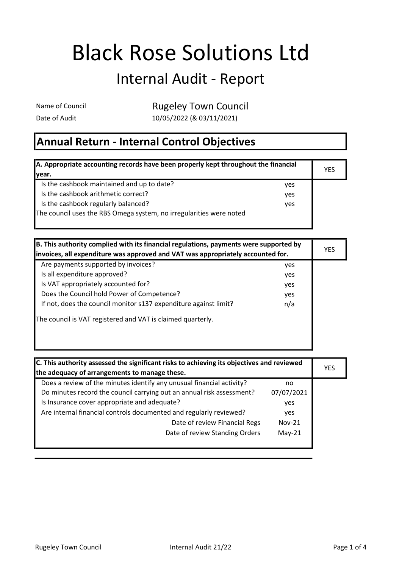## Black Rose Solutions Ltd

## Internal Audit - Report

**Rugeley Town Council** 

Date of Audit 10/05/2022 (& 03/11/2021)

## Annual Return - Internal Control Objectives

| A. Appropriate accounting records have been properly kept throughout the financial |     | <b>YES</b> |
|------------------------------------------------------------------------------------|-----|------------|
| Ivear.                                                                             |     |            |
| Is the cashbook maintained and up to date?                                         | ves |            |
| Is the cashbook arithmetic correct?                                                | ves |            |
| Is the cashbook regularly balanced?                                                | yes |            |
| The council uses the RBS Omega system, no irregularities were noted                |     |            |
|                                                                                    |     |            |

| B. This authority complied with its financial regulations, payments were supported by<br>invoices, all expenditure was approved and VAT was appropriately accounted for. |     | <b>YES</b> |
|--------------------------------------------------------------------------------------------------------------------------------------------------------------------------|-----|------------|
|                                                                                                                                                                          |     |            |
| Are payments supported by invoices?                                                                                                                                      | yes |            |
| Is all expenditure approved?                                                                                                                                             | yes |            |
| Is VAT appropriately accounted for?                                                                                                                                      | yes |            |
| Does the Council hold Power of Competence?                                                                                                                               | yes |            |
| If not, does the council monitor s137 expenditure against limit?                                                                                                         | n/a |            |
| The council is VAT registered and VAT is claimed quarterly.                                                                                                              |     |            |
|                                                                                                                                                                          |     |            |
|                                                                                                                                                                          |     |            |

| C. This authority assessed the significant risks to achieving its objectives and reviewed |            |     |
|-------------------------------------------------------------------------------------------|------------|-----|
| the adequacy of arrangements to manage these.                                             |            | YES |
| Does a review of the minutes identify any unusual financial activity?                     | no         |     |
| Do minutes record the council carrying out an annual risk assessment?                     | 07/07/2021 |     |
| Is Insurance cover appropriate and adequate?                                              | yes        |     |
| Are internal financial controls documented and regularly reviewed?                        | ves        |     |
| Date of review Financial Regs                                                             | $Nov-21$   |     |
| Date of review Standing Orders                                                            | $May-21$   |     |
|                                                                                           |            |     |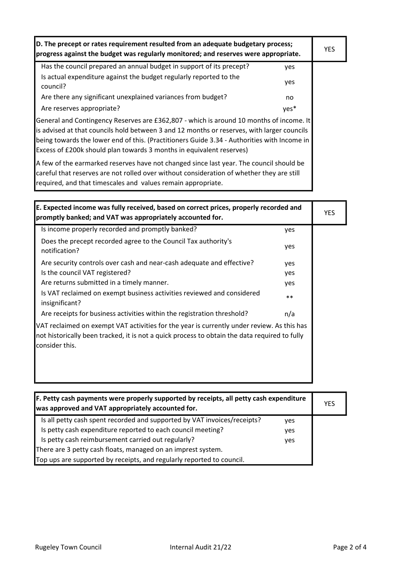| D. The precept or rates requirement resulted from an adequate budgetary process;<br>progress against the budget was regularly monitored; and reserves were appropriate.                                                                                                                                                                                      |      | <b>YES</b> |
|--------------------------------------------------------------------------------------------------------------------------------------------------------------------------------------------------------------------------------------------------------------------------------------------------------------------------------------------------------------|------|------------|
| Has the council prepared an annual budget in support of its precept?                                                                                                                                                                                                                                                                                         | yes  |            |
| Is actual expenditure against the budget regularly reported to the<br>council?                                                                                                                                                                                                                                                                               | yes  |            |
| Are there any significant unexplained variances from budget?                                                                                                                                                                                                                                                                                                 | no   |            |
| Are reserves appropriate?                                                                                                                                                                                                                                                                                                                                    | yes* |            |
| General and Contingency Reserves are £362,807 - which is around 10 months of income. It<br>is advised at that councils hold between 3 and 12 months or reserves, with larger councils<br>being towards the lower end of this. (Practitioners Guide 3.34 - Authorities with Income in<br>Excess of £200k should plan towards 3 months in equivalent reserves) |      |            |
| A few of the earmarked reserves have not changed since last year. The council should be<br>careful that reserves are not rolled over without consideration of whether they are still                                                                                                                                                                         |      |            |

required, and that timescales and values remain appropriate.

| E. Expected income was fully received, based on correct prices, properly recorded and<br>promptly banked; and VAT was appropriately accounted for.                                                            |       | <b>YES</b> |
|---------------------------------------------------------------------------------------------------------------------------------------------------------------------------------------------------------------|-------|------------|
| Is income properly recorded and promptly banked?                                                                                                                                                              | yes   |            |
| Does the precept recorded agree to the Council Tax authority's<br>notification?                                                                                                                               | yes   |            |
| Are security controls over cash and near-cash adequate and effective?                                                                                                                                         | yes   |            |
| Is the council VAT registered?                                                                                                                                                                                | yes   |            |
| Are returns submitted in a timely manner.                                                                                                                                                                     | yes   |            |
| Is VAT reclaimed on exempt business activities reviewed and considered<br>insignificant?                                                                                                                      | $***$ |            |
| Are receipts for business activities within the registration threshold?                                                                                                                                       | n/a   |            |
| VAT reclaimed on exempt VAT activities for the year is currently under review. As this has<br>not historically been tracked, it is not a quick process to obtain the data required to fully<br>consider this. |       |            |

| <b>F. Petty cash payments were properly supported by receipts, all petty cash expenditure</b><br>was approved and VAT appropriately accounted for. |            | <b>YES</b> |
|----------------------------------------------------------------------------------------------------------------------------------------------------|------------|------------|
| Is all petty cash spent recorded and supported by VAT invoices/receipts?                                                                           | yes        |            |
| Is petty cash expenditure reported to each council meeting?                                                                                        | yes        |            |
| Is petty cash reimbursement carried out regularly?                                                                                                 | <b>ves</b> |            |
| There are 3 petty cash floats, managed on an imprest system.                                                                                       |            |            |
| Top ups are supported by receipts, and regularly reported to council.                                                                              |            |            |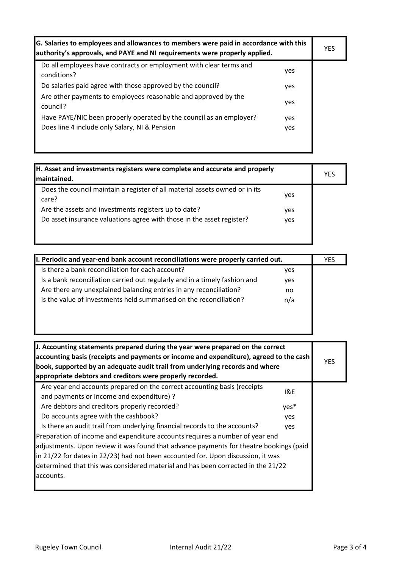| G. Salaries to employees and allowances to members were paid in accordance with this<br>authority's approvals, and PAYE and NI requirements were properly applied. |     | YES |
|--------------------------------------------------------------------------------------------------------------------------------------------------------------------|-----|-----|
| Do all employees have contracts or employment with clear terms and<br>conditions?                                                                                  | yes |     |
| Do salaries paid agree with those approved by the council?                                                                                                         | yes |     |
| Are other payments to employees reasonable and approved by the<br>council?                                                                                         | yes |     |
| Have PAYE/NIC been properly operated by the council as an employer?                                                                                                | yes |     |
| Does line 4 include only Salary, NI & Pension                                                                                                                      | yes |     |
|                                                                                                                                                                    |     |     |

| H. Asset and investments registers were complete and accurate and properly<br>maintained.                                                                                                                             |                   | <b>YES</b> |
|-----------------------------------------------------------------------------------------------------------------------------------------------------------------------------------------------------------------------|-------------------|------------|
| Does the council maintain a register of all material assets owned or in its<br>care?<br>Are the assets and investments registers up to date?<br>Do asset insurance valuations agree with those in the asset register? | yes<br>yes<br>ves |            |
|                                                                                                                                                                                                                       |                   |            |

| II. Periodic and year-end bank account reconciliations were properly carried out. |            | YES |
|-----------------------------------------------------------------------------------|------------|-----|
| Is there a bank reconciliation for each account?                                  | <b>ves</b> |     |
| Is a bank reconciliation carried out regularly and in a timely fashion and        | yes        |     |
| Are there any unexplained balancing entries in any reconciliation?                | no         |     |
| Is the value of investments held summarised on the reconciliation?                | n/a        |     |
|                                                                                   |            |     |
|                                                                                   |            |     |
|                                                                                   |            |     |
|                                                                                   |            |     |

| J. Accounting statements prepared during the year were prepared on the correct<br>accounting basis (receipts and payments or income and expenditure), agreed to the cash<br>book, supported by an adequate audit trail from underlying records and where<br>appropriate debtors and creditors were properly recorded. |      | <b>YES</b> |
|-----------------------------------------------------------------------------------------------------------------------------------------------------------------------------------------------------------------------------------------------------------------------------------------------------------------------|------|------------|
| Are year end accounts prepared on the correct accounting basis (receipts<br>and payments or income and expenditure) ?                                                                                                                                                                                                 | 18E  |            |
| Are debtors and creditors properly recorded?                                                                                                                                                                                                                                                                          | yes* |            |
| Do accounts agree with the cashbook?                                                                                                                                                                                                                                                                                  | yes  |            |
| Is there an audit trail from underlying financial records to the accounts?                                                                                                                                                                                                                                            | yes  |            |
| Preparation of income and expenditure accounts requires a number of year end                                                                                                                                                                                                                                          |      |            |
| adjustments. Upon review it was found that advance payments for theatre bookings (paid                                                                                                                                                                                                                                |      |            |
| in 21/22 for dates in 22/23) had not been accounted for. Upon discussion, it was                                                                                                                                                                                                                                      |      |            |
| determined that this was considered material and has been corrected in the 21/22                                                                                                                                                                                                                                      |      |            |
| accounts.                                                                                                                                                                                                                                                                                                             |      |            |
|                                                                                                                                                                                                                                                                                                                       |      |            |